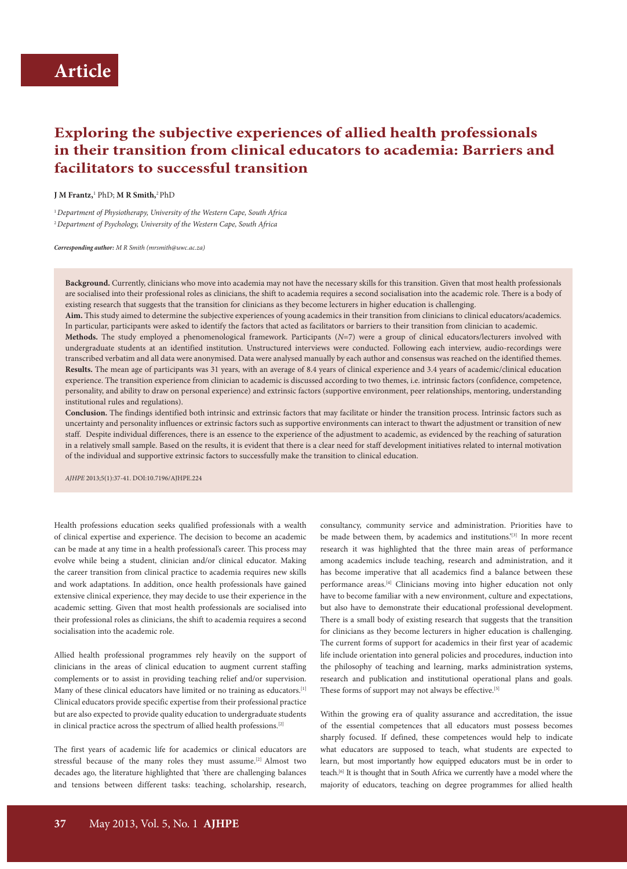## **Exploring the subjective experiences of allied health professionals in their transition from clinical educators to academia: Barriers and facilitators to successful transition**

**J M Frantz,**<sup>1</sup> PhD; **M R Smith,**2PhD

<sup>1</sup>*Department of Physiotherapy, University of the Western Cape, South Africa* <sup>2</sup>*Department of Psychology, University of the Western Cape, South Africa*

*Corresponding author: M R Smith (mrsmith@uwc.ac.za)*

**Background.** Currently, clinicians who move into academia may not have the necessary skills for this transition. Given that most health professionals are socialised into their professional roles as clinicians, the shift to academia requires a second socialisation into the academic role. There is a body of existing research that suggests that the transition for clinicians as they become lecturers in higher education is challenging.

**Aim.** This study aimed to determine the subjective experiences of young academics in their transition from clinicians to clinical educators/academics. In particular, participants were asked to identify the factors that acted as facilitators or barriers to their transition from clinician to academic.

**Methods.** The study employed a phenomenological framework. Participants (*N*=7) were a group of clinical educators/lecturers involved with undergraduate students at an identified institution. Unstructured interviews were conducted. Following each interview, audio-recordings were transcribed verbatim and all data were anonymised. Data were analysed manually by each author and consensus was reached on the identified themes. **Results.** The mean age of participants was 31 years, with an average of 8.4 years of clinical experience and 3.4 years of academic/clinical education experience. The transition experience from clinician to academic is discussed according to two themes, i.e. intrinsic factors (confidence, competence, personality, and ability to draw on personal experience) and extrinsic factors (supportive environment, peer relationships, mentoring, understanding institutional rules and regulations).

**Conclusion.** The findings identified both intrinsic and extrinsic factors that may facilitate or hinder the transition process. Intrinsic factors such as uncertainty and personality influences or extrinsic factors such as supportive environments can interact to thwart the adjustment or transition of new staff. Despite individual differences, there is an essence to the experience of the adjustment to academic, as evidenced by the reaching of saturation in a relatively small sample. Based on the results, it is evident that there is a clear need for staff development initiatives related to internal motivation of the individual and supportive extrinsic factors to successfully make the transition to clinical education.

*AJHPE* 2013;5(1):37-41. DOI:10.7196/AJHPE.224

Health professions education seeks qualified professionals with a wealth of clinical expertise and experience. The decision to become an academic can be made at any time in a health professional's career. This process may evolve while being a student, clinician and/or clinical educator. Making the career transition from clinical practice to academia requires new skills and work adaptations. In addition, once health professionals have gained extensive clinical experience, they may decide to use their experience in the academic setting. Given that most health professionals are socialised into their professional roles as clinicians, the shift to academia requires a second socialisation into the academic role.

Allied health professional programmes rely heavily on the support of clinicians in the areas of clinical education to augment current staffing complements or to assist in providing teaching relief and/or supervision. Many of these clinical educators have limited or no training as educators.[1] Clinical educators provide specific expertise from their professional practice but are also expected to provide quality education to undergraduate students in clinical practice across the spectrum of allied health professions.[2]

The first years of academic life for academics or clinical educators are stressful because of the many roles they must assume.[2] Almost two decades ago, the literature highlighted that 'there are challenging balances and tensions between different tasks: teaching, scholarship, research, consultancy, community service and administration. Priorities have to be made between them, by academics and institutions.'<sup>[3]</sup> In more recent research it was highlighted that the three main areas of performance among academics include teaching, research and administration, and it has become imperative that all academics find a balance between these performance areas.<sup>[4]</sup> Clinicians moving into higher education not only have to become familiar with a new environment, culture and expectations, but also have to demonstrate their educational professional development. There is a small body of existing research that suggests that the transition for clinicians as they become lecturers in higher education is challenging. The current forms of support for academics in their first year of academic life include orientation into general policies and procedures, induction into the philosophy of teaching and learning, marks administration systems, research and publication and institutional operational plans and goals. These forms of support may not always be effective.<sup>[5]</sup>

Within the growing era of quality assurance and accreditation, the issue of the essential competences that all educators must possess becomes sharply focused. If defined, these competences would help to indicate what educators are supposed to teach, what students are expected to learn, but most importantly how equipped educators must be in order to teach.[6] It is thought that in South Africa we currently have a model where the majority of educators, teaching on degree programmes for allied health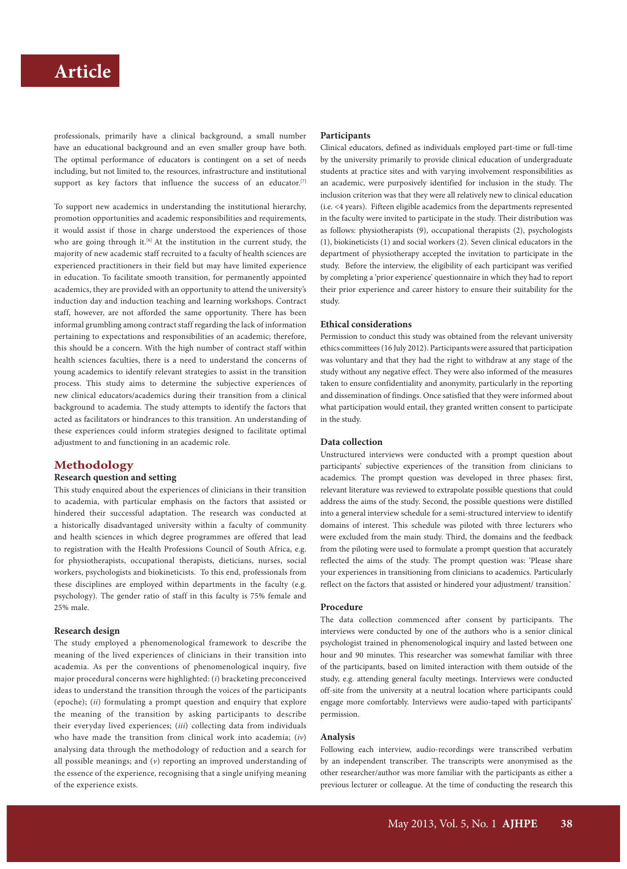## **Article**

professionals, primarily have a clinical background, a small number have an educational background and an even smaller group have both. The optimal performance of educators is contingent on a set of needs including, but not limited to, the resources, infrastructure and institutional support as key factors that influence the success of an educator.<sup>[7]</sup>

To support new academics in understanding the institutional hierarchy, promotion opportunities and academic responsibilities and requirements, it would assist if those in charge understood the experiences of those who are going through it.<sup>[6]</sup> At the institution in the current study, the majority of new academic staff recruited to a faculty of health sciences are experienced practitioners in their field but may have limited experience in education. To facilitate smooth transition, for permanently appointed academics, they are provided with an opportunity to attend the university's induction day and induction teaching and learning workshops. Contract staff, however, are not afforded the same opportunity. There has been informal grumbling among contract staff regarding the lack of information pertaining to expectations and responsibilities of an academic; therefore, this should be a concern. With the high number of contract staff within health sciences faculties, there is a need to understand the concerns of young academics to identify relevant strategies to assist in the transition process. This study aims to determine the subjective experiences of new clinical educators/academics during their transition from a clinical background to academia. The study attempts to identify the factors that acted as facilitators or hindrances to this transition. An understanding of these experiences could inform strategies designed to facilitate optimal adjustment to and functioning in an academic role.

## **Methodology**

## **Research question and setting**

This study enquired about the experiences of clinicians in their transition to academia, with particular emphasis on the factors that assisted or hindered their successful adaptation. The research was conducted at a historically disadvantaged university within a faculty of community and health sciences in which degree programmes are offered that lead to registration with the Health Professions Council of South Africa, e.g. for physiotherapists, occupational therapists, dieticians, nurses, social workers, psychologists and biokineticists. To this end, professionals from these disciplines are employed within departments in the faculty (e.g. psychology). The gender ratio of staff in this faculty is 75% female and 25% male.

#### **Research design**

The study employed a phenomenological framework to describe the meaning of the lived experiences of clinicians in their transition into academia. As per the conventions of phenomenological inquiry, five major procedural concerns were highlighted: (*i*) bracketing preconceived ideas to understand the transition through the voices of the participants (epoche); (*ii*) formulating a prompt question and enquiry that explore the meaning of the transition by asking participants to describe their everyday lived experiences; (*iii*) collecting data from individuals who have made the transition from clinical work into academia; (*iv*) analysing data through the methodology of reduction and a search for all possible meanings; and (*v*) reporting an improved understanding of the essence of the experience, recognising that a single unifying meaning of the experience exists.

### **Participants**

Clinical educators, defined as individuals employed part-time or full-time by the university primarily to provide clinical education of undergraduate students at practice sites and with varying involvement responsibilities as an academic, were purposively identified for inclusion in the study. The inclusion criterion was that they were all relatively new to clinical education (i.e. <4 years). Fifteen eligible academics from the departments represented in the faculty were invited to participate in the study. Their distribution was as follows: physiotherapists (9), occupational therapists (2), psychologists (1), biokineticists (1) and social workers (2). Seven clinical educators in the department of physiotherapy accepted the invitation to participate in the study. Before the interview, the eligibility of each participant was verified by completing a 'prior experience' questionnaire in which they had to report their prior experience and career history to ensure their suitability for the study.

#### **Ethical considerations**

Permission to conduct this study was obtained from the relevant university ethics committees (16 July 2012). Participants were assured that participation was voluntary and that they had the right to withdraw at any stage of the study without any negative effect. They were also informed of the measures taken to ensure confidentiality and anonymity, particularly in the reporting and dissemination of findings. Once satisfied that they were informed about what participation would entail, they granted written consent to participate in the study.

#### **Data collection**

Unstructured interviews were conducted with a prompt question about participants' subjective experiences of the transition from clinicians to academics. The prompt question was developed in three phases: first, relevant literature was reviewed to extrapolate possible questions that could address the aims of the study. Second, the possible questions were distilled into a general interview schedule for a semi-structured interview to identify domains of interest. This schedule was piloted with three lecturers who were excluded from the main study. Third, the domains and the feedback from the piloting were used to formulate a prompt question that accurately reflected the aims of the study. The prompt question was: 'Please share your experiences in transitioning from clinicians to academics. Particularly reflect on the factors that assisted or hindered your adjustment/ transition.'

#### **Procedure**

The data collection commenced after consent by participants. The interviews were conducted by one of the authors who is a senior clinical psychologist trained in phenomenological inquiry and lasted between one hour and 90 minutes. This researcher was somewhat familiar with three of the participants, based on limited interaction with them outside of the study, e.g. attending general faculty meetings. Interviews were conducted off-site from the university at a neutral location where participants could engage more comfortably. Interviews were audio-taped with participants' permission.

#### **Analysis**

Following each interview, audio-recordings were transcribed verbatim by an independent transcriber. The transcripts were anonymised as the other researcher/author was more familiar with the participants as either a previous lecturer or colleague. At the time of conducting the research this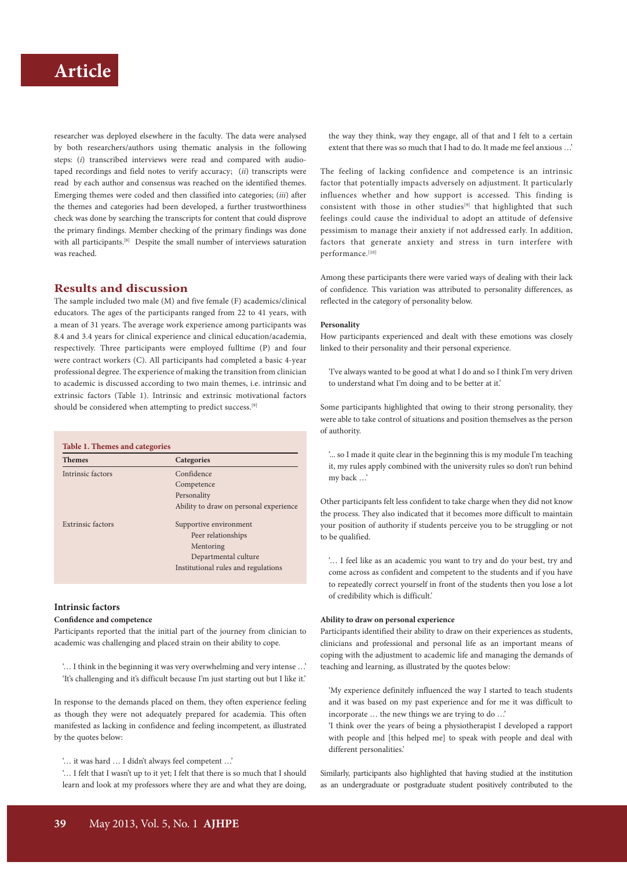## **Article Article**

researcher was deployed elsewhere in the faculty*.* The data were analysed by both researchers/authors using thematic analysis in the following steps: (*i*) transcribed interviews were read and compared with audiotaped recordings and field notes to verify accuracy; (*ii*) transcripts were read by each author and consensus was reached on the identified themes. Emerging themes were coded and then classified into categories; (*iii*) after the themes and categories had been developed, a further trustworthiness check was done by searching the transcripts for content that could disprove the primary findings. Member checking of the primary findings was done with all participants.<sup>[8]</sup> Despite the small number of interviews saturation was reached.

## **Results and discussion**

The sample included two male (M) and five female (F) academics/clinical educators. The ages of the participants ranged from 22 to 41 years, with a mean of 31 years. The average work experience among participants was 8.4 and 3.4 years for clinical experience and clinical education/academia, respectively. Three participants were employed fulltime (P) and four were contract workers (C). All participants had completed a basic 4-year professional degree. The experience of making the transition from clinician to academic is discussed according to two main themes, i.e. intrinsic and extrinsic factors (Table 1). Intrinsic and extrinsic motivational factors should be considered when attempting to predict success.<sup>[9]</sup>

| Table 1. Themes and categories |            |
|--------------------------------|------------|
| <b>Themes</b>                  | Categories |

| Intrinsic factors        | Confidence                             |
|--------------------------|----------------------------------------|
|                          | Competence                             |
|                          | Personality                            |
|                          | Ability to draw on personal experience |
| <b>Extrinsic factors</b> | Supportive environment                 |
|                          | Peer relationships                     |
|                          | Mentoring                              |
|                          | Departmental culture                   |
|                          | Institutional rules and regulations    |
|                          |                                        |

## **Intrinsic factors**

#### **Confidence and competence**

Participants reported that the initial part of the journey from clinician to academic was challenging and placed strain on their ability to cope.

'… I think in the beginning it was very overwhelming and very intense …' 'It's challenging and it's difficult because I'm just starting out but I like it.'

In response to the demands placed on them, they often experience feeling as though they were not adequately prepared for academia. This often manifested as lacking in confidence and feeling incompetent, as illustrated by the quotes below:

'… it was hard … I didn't always feel competent …'

'… I felt that I wasn't up to it yet; I felt that there is so much that I should learn and look at my professors where they are and what they are doing,

the way they think, way they engage, all of that and I felt to a certain extent that there was so much that I had to do. It made me feel anxious …'

The feeling of lacking confidence and competence is an intrinsic factor that potentially impacts adversely on adjustment. It particularly influences whether and how support is accessed. This finding is consistent with those in other studies<sup>[9]</sup> that highlighted that such feelings could cause the individual to adopt an attitude of defensive pessimism to manage their anxiety if not addressed early. In addition, factors that generate anxiety and stress in turn interfere with performance.[10]

Among these participants there were varied ways of dealing with their lack of confidence. This variation was attributed to personality differences, as reflected in the category of personality below.

#### **Personality**

How participants experienced and dealt with these emotions was closely linked to their personality and their personal experience.

'I've always wanted to be good at what I do and so I think I'm very driven to understand what I'm doing and to be better at it.'

Some participants highlighted that owing to their strong personality, they were able to take control of situations and position themselves as the person of authority.

'... so I made it quite clear in the beginning this is my module I'm teaching it, my rules apply combined with the university rules so don't run behind my back …'

Other participants felt less confident to take charge when they did not know the process. They also indicated that it becomes more difficult to maintain your position of authority if students perceive you to be struggling or not to be qualified.

'… I feel like as an academic you want to try and do your best, try and come across as confident and competent to the students and if you have to repeatedly correct yourself in front of the students then you lose a lot of credibility which is difficult.'

#### **Ability to draw on personal experience**

Participants identified their ability to draw on their experiences as students, clinicians and professional and personal life as an important means of coping with the adjustment to academic life and managing the demands of teaching and learning, as illustrated by the quotes below:

'My experience definitely influenced the way I started to teach students and it was based on my past experience and for me it was difficult to incorporate … the new things we are trying to do …'

'I think over the years of being a physiotherapist I developed a rapport with people and [this helped me] to speak with people and deal with different personalities.'

Similarly, participants also highlighted that having studied at the institution as an undergraduate or postgraduate student positively contributed to the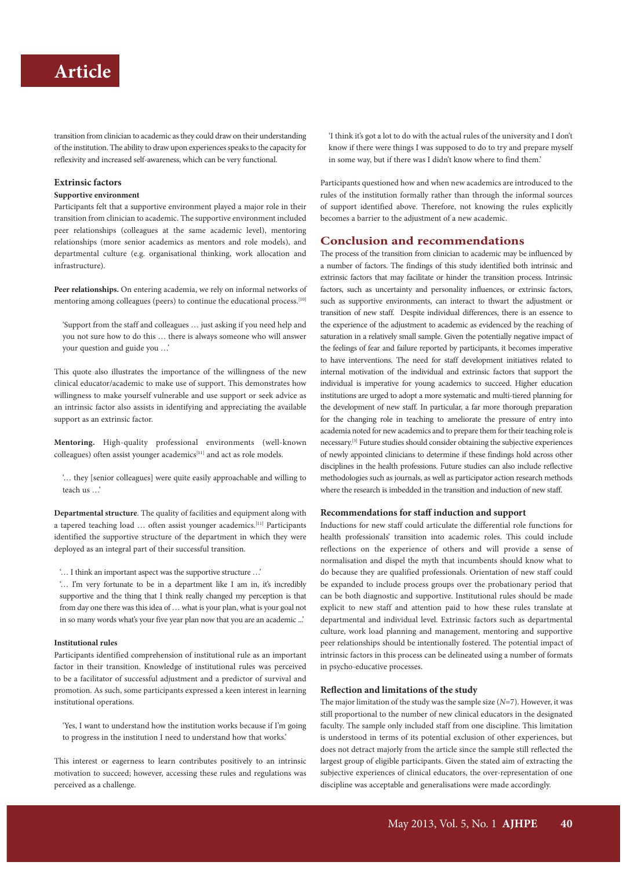## **Article**

transition from clinician to academic as they could draw on their understanding of the institution. The ability to draw upon experiences speaks to the capacity for reflexivity and increased self-awareness, which can be very functional.

#### **Extrinsic factors**

## **Supportive environment**

Participants felt that a supportive environment played a major role in their transition from clinician to academic. The supportive environment included peer relationships (colleagues at the same academic level), mentoring relationships (more senior academics as mentors and role models), and departmental culture (e.g. organisational thinking, work allocation and infrastructure).

**Peer relationships.** On entering academia, we rely on informal networks of mentoring among colleagues (peers) to continue the educational process.<sup>[10]</sup>

'Support from the staff and colleagues … just asking if you need help and you not sure how to do this … there is always someone who will answer your question and guide you …'

This quote also illustrates the importance of the willingness of the new clinical educator/academic to make use of support. This demonstrates how willingness to make yourself vulnerable and use support or seek advice as an intrinsic factor also assists in identifying and appreciating the available support as an extrinsic factor.

**Mentoring.** High-quality professional environments (well-known colleagues) often assist younger academics<sup>[11]</sup> and act as role models.

'… they [senior colleagues] were quite easily approachable and willing to teach us …'

**Departmental structure**. The quality of facilities and equipment along with a tapered teaching load ... often assist younger academics.<sup>[11]</sup> Participants identified the supportive structure of the department in which they were deployed as an integral part of their successful transition.

'… I think an important aspect was the supportive structure …'

'… I'm very fortunate to be in a department like I am in, it's incredibly supportive and the thing that I think really changed my perception is that from day one there was this idea of … what is your plan, what is your goal not in so many words what's your five year plan now that you are an academic ...'

#### **Institutional rules**

Participants identified comprehension of institutional rule as an important factor in their transition. Knowledge of institutional rules was perceived to be a facilitator of successful adjustment and a predictor of survival and promotion. As such, some participants expressed a keen interest in learning institutional operations.

'Yes, I want to understand how the institution works because if I'm going to progress in the institution I need to understand how that works.'

This interest or eagerness to learn contributes positively to an intrinsic motivation to succeed; however, accessing these rules and regulations was perceived as a challenge.

'I think it's got a lot to do with the actual rules of the university and I don't know if there were things I was supposed to do to try and prepare myself in some way, but if there was I didn't know where to find them.'

Participants questioned how and when new academics are introduced to the rules of the institution formally rather than through the informal sources of support identified above. Therefore, not knowing the rules explicitly becomes a barrier to the adjustment of a new academic.

### **Conclusion and recommendations**

The process of the transition from clinician to academic may be influenced by a number of factors. The findings of this study identified both intrinsic and extrinsic factors that may facilitate or hinder the transition process. Intrinsic factors, such as uncertainty and personality influences, or extrinsic factors, such as supportive environments, can interact to thwart the adjustment or transition of new staff. Despite individual differences, there is an essence to the experience of the adjustment to academic as evidenced by the reaching of saturation in a relatively small sample. Given the potentially negative impact of the feelings of fear and failure reported by participants, it becomes imperative to have interventions. The need for staff development initiatives related to internal motivation of the individual and extrinsic factors that support the individual is imperative for young academics to succeed. Higher education institutions are urged to adopt a more systematic and multi-tiered planning for the development of new staff. In particular, a far more thorough preparation for the changing role in teaching to ameliorate the pressure of entry into academia noted for new academics and to prepare them for their teaching role is necessary.[3] Future studies should consider obtaining the subjective experiences of newly appointed clinicians to determine if these findings hold across other disciplines in the health professions. Future studies can also include reflective methodologies such as journals, as well as participator action research methods where the research is imbedded in the transition and induction of new staff.

### **Recommendations for staff induction and support**

Inductions for new staff could articulate the differential role functions for health professionals' transition into academic roles. This could include reflections on the experience of others and will provide a sense of normalisation and dispel the myth that incumbents should know what to do because they are qualified professionals. Orientation of new staff could be expanded to include process groups over the probationary period that can be both diagnostic and supportive. Institutional rules should be made explicit to new staff and attention paid to how these rules translate at departmental and individual level. Extrinsic factors such as departmental culture, work load planning and management, mentoring and supportive peer relationships should be intentionally fostered. The potential impact of intrinsic factors in this process can be delineated using a number of formats in psycho-educative processes.

#### **Reflection and limitations of the study**

The major limitation of the study was the sample size (*N*=7). However, it was still proportional to the number of new clinical educators in the designated faculty. The sample only included staff from one discipline. This limitation is understood in terms of its potential exclusion of other experiences, but does not detract majorly from the article since the sample still reflected the largest group of eligible participants. Given the stated aim of extracting the subjective experiences of clinical educators, the over-representation of one discipline was acceptable and generalisations were made accordingly.